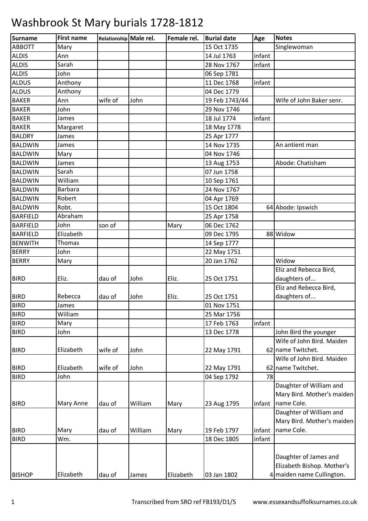| Surname         | <b>First name</b> | Relationship Male rel. |         | Female rel. | <b>Burial date</b> | Age    | <b>Notes</b>               |
|-----------------|-------------------|------------------------|---------|-------------|--------------------|--------|----------------------------|
| <b>ABBOTT</b>   | Mary              |                        |         |             | 15 Oct 1735        |        | Singlewoman                |
| <b>ALDIS</b>    | Ann               |                        |         |             | 14 Jul 1763        | infant |                            |
| <b>ALDIS</b>    | Sarah             |                        |         |             | 28 Nov 1767        | infant |                            |
| <b>ALDIS</b>    | John              |                        |         |             | 06 Sep 1781        |        |                            |
| <b>ALDUS</b>    | Anthony           |                        |         |             | 11 Dec 1768        | infant |                            |
| <b>ALDUS</b>    | Anthony           |                        |         |             | 04 Dec 1779        |        |                            |
| <b>BAKER</b>    | Ann               | wife of                | John    |             | 19 Feb 1743/44     |        | Wife of John Baker senr.   |
| <b>BAKER</b>    | John              |                        |         |             | 29 Nov 1746        |        |                            |
| <b>BAKER</b>    | James             |                        |         |             | 18 Jul 1774        | infant |                            |
| <b>BAKER</b>    | Margaret          |                        |         |             | 18 May 1778        |        |                            |
| <b>BALDRY</b>   | James             |                        |         |             | 25 Apr 1777        |        |                            |
| <b>BALDWIN</b>  | James             |                        |         |             | 14 Nov 1735        |        | An antient man             |
| <b>BALDWIN</b>  | Mary              |                        |         |             | 04 Nov 1746        |        |                            |
| <b>BALDWIN</b>  | James             |                        |         |             | 13 Aug 1753        |        | Abode: Chatisham           |
| <b>BALDWIN</b>  | Sarah             |                        |         |             | 07 Jun 1758        |        |                            |
| <b>BALDWIN</b>  | William           |                        |         |             | 10 Sep 1761        |        |                            |
| <b>BALDWIN</b>  | Barbara           |                        |         |             | 24 Nov 1767        |        |                            |
| <b>BALDWIN</b>  | Robert            |                        |         |             | 04 Apr 1769        |        |                            |
| <b>BALDWIN</b>  | Robt.             |                        |         |             | 15 Oct 1804        |        | 64 Abode: Ipswich          |
| <b>BARFIELD</b> | Abraham           |                        |         |             | 25 Apr 1758        |        |                            |
| <b>BARFIELD</b> | John              | son of                 |         | Mary        | 06 Dec 1762        |        |                            |
| <b>BARFIELD</b> | Elizabeth         |                        |         |             | 09 Dec 1795        |        | 88 Widow                   |
| <b>BENWITH</b>  | Thomas            |                        |         |             | 14 Sep 1777        |        |                            |
| <b>BERRY</b>    | John              |                        |         |             | 22 May 1751        |        |                            |
| <b>BERRY</b>    | Mary              |                        |         |             | 20 Jan 1762        |        | Widow                      |
|                 |                   |                        |         |             |                    |        | Eliz and Rebecca Bird,     |
| <b>BIRD</b>     | Eliz.             | dau of                 | John    | Eliz.       | 25 Oct 1751        |        | daughters of               |
|                 |                   |                        |         |             |                    |        | Eliz and Rebecca Bird,     |
| <b>BIRD</b>     | Rebecca           | dau of                 | John    | Eliz.       | 25 Oct 1751        |        | daughters of               |
| <b>BIRD</b>     | James             |                        |         |             | 01 Nov 1751        |        |                            |
| <b>BIRD</b>     | William           |                        |         |             | 25 Mar 1756        |        |                            |
| <b>BIRD</b>     | Mary              |                        |         |             | 17 Feb 1763        | infant |                            |
| <b>BIRD</b>     | John              |                        |         |             | 13 Dec 1778        |        | John Bird the younger      |
|                 |                   |                        |         |             |                    |        | Wife of John Bird. Maiden  |
| <b>BIRD</b>     | Elizabeth         | wife of                | John    |             | 22 May 1791        |        | 62 name Twitchet.          |
|                 |                   |                        |         |             |                    |        | Wife of John Bird. Maiden  |
| <b>BIRD</b>     | Elizabeth         | wife of                | John    |             | 22 May 1791        |        | 62 name Twitchet.          |
| <b>BIRD</b>     | John              |                        |         |             | 04 Sep 1792        | 78     |                            |
|                 |                   |                        |         |             |                    |        | Daughter of William and    |
|                 |                   |                        |         |             |                    |        | Mary Bird. Mother's maiden |
| <b>BIRD</b>     | <b>Mary Anne</b>  | dau of                 | William | Mary        | 23 Aug 1795        | infant | name Cole.                 |
|                 |                   |                        |         |             |                    |        | Daughter of William and    |
|                 |                   |                        |         |             |                    |        | Mary Bird. Mother's maiden |
| <b>BIRD</b>     | Mary              | dau of                 | William | Mary        | 19 Feb 1797        | infant | name Cole.                 |
| <b>BIRD</b>     | Wm.               |                        |         |             | 18 Dec 1805        | infant |                            |
|                 |                   |                        |         |             |                    |        |                            |
|                 |                   |                        |         |             |                    |        | Daughter of James and      |
|                 |                   |                        |         |             |                    |        | Elizabeth Bishop. Mother's |
| <b>BISHOP</b>   | Elizabeth         | dau of                 | James   | Elizabeth   | 03 Jan 1802        |        | 4 maiden name Cullington.  |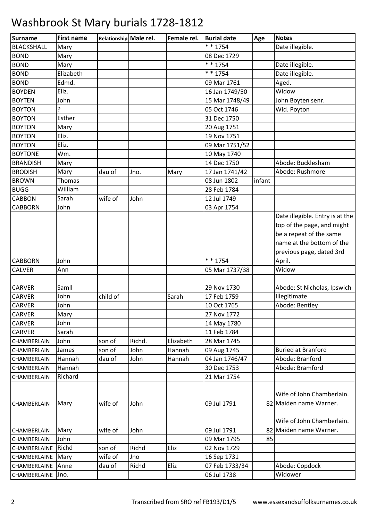| Surname             | <b>First name</b> | Relationship Male rel. |        | Female rel. | <b>Burial date</b> | Age    | <b>Notes</b>                    |
|---------------------|-------------------|------------------------|--------|-------------|--------------------|--------|---------------------------------|
| <b>BLACKSHALL</b>   | Mary              |                        |        |             | $* * 1754$         |        | Date illegible.                 |
| <b>BOND</b>         | Mary              |                        |        |             | 08 Dec 1729        |        |                                 |
| <b>BOND</b>         | Mary              |                        |        |             | * * 1754           |        | Date illegible.                 |
| <b>BOND</b>         | Elizabeth         |                        |        |             | * * 1754           |        | Date illegible.                 |
| <b>BOND</b>         | Edmd.             |                        |        |             | 09 Mar 1761        |        | Aged.                           |
| <b>BOYDEN</b>       | Eliz.             |                        |        |             | 16 Jan 1749/50     |        | Widow                           |
| <b>BOYTEN</b>       | John              |                        |        |             | 15 Mar 1748/49     |        | John Boyten senr.               |
| <b>BOYTON</b>       | 5                 |                        |        |             | 05 Oct 1746        |        | Wid. Poyton                     |
| <b>BOYTON</b>       | Esther            |                        |        |             | 31 Dec 1750        |        |                                 |
| <b>BOYTON</b>       | Mary              |                        |        |             | 20 Aug 1751        |        |                                 |
| <b>BOYTON</b>       | Eliz.             |                        |        |             | 19 Nov 1751        |        |                                 |
| <b>BOYTON</b>       | Eliz.             |                        |        |             | 09 Mar 1751/52     |        |                                 |
| <b>BOYTONE</b>      | Wm.               |                        |        |             | 10 May 1740        |        |                                 |
| <b>BRANDISH</b>     | Mary              |                        |        |             | 14 Dec 1750        |        | Abode: Bucklesham               |
| <b>BRODISH</b>      | Mary              | dau of                 | Jno.   | Mary        | 17 Jan 1741/42     |        | Abode: Rushmore                 |
| <b>BROWN</b>        | Thomas            |                        |        |             | 08 Jun 1802        | infant |                                 |
| <b>BUGG</b>         | William           |                        |        |             | 28 Feb 1784        |        |                                 |
| <b>CABBON</b>       | Sarah             | wife of                | John   |             | 12 Jul 1749        |        |                                 |
| <b>CABBORN</b>      | John              |                        |        |             | 03 Apr 1754        |        |                                 |
|                     |                   |                        |        |             |                    |        | Date illegible. Entry is at the |
|                     |                   |                        |        |             |                    |        | top of the page, and might      |
|                     |                   |                        |        |             |                    |        | be a repeat of the same         |
|                     |                   |                        |        |             |                    |        | name at the bottom of the       |
|                     |                   |                        |        |             |                    |        | previous page, dated 3rd        |
| <b>CABBORN</b>      | John              |                        |        |             | * * 1754           |        | April.                          |
| <b>CALVER</b>       | Ann               |                        |        |             | 05 Mar 1737/38     |        | Widow                           |
|                     |                   |                        |        |             |                    |        |                                 |
| <b>CARVER</b>       | Samll             |                        |        |             | 29 Nov 1730        |        | Abode: St Nicholas, Ipswich     |
| <b>CARVER</b>       | John              | child of               |        | Sarah       | 17 Feb 1759        |        | Illegitimate                    |
| <b>CARVER</b>       | John              |                        |        |             | 10 Oct 1765        |        | Abode: Bentley                  |
| <b>CARVER</b>       | Mary              |                        |        |             | 27 Nov 1772        |        |                                 |
| CARVER              | John              |                        |        |             | 14 May 1780        |        |                                 |
| CARVER              | Sarah             |                        |        |             | 11 Feb 1784        |        |                                 |
| CHAMBERLAIN         | John              | son of                 | Richd. | Elizabeth   | 28 Mar 1745        |        |                                 |
| CHAMBERLAIN         | James             | son of                 | John   | Hannah      | 09 Aug 1745        |        | <b>Buried at Branford</b>       |
| CHAMBERLAIN         | Hannah            | dau of                 | John   | Hannah      | 04 Jan 1746/47     |        | Abode: Branford                 |
| CHAMBERLAIN         | Hannah            |                        |        |             | 30 Dec 1753        |        | Abode: Bramford                 |
| CHAMBERLAIN         | Richard           |                        |        |             | 21 Mar 1754        |        |                                 |
|                     |                   |                        |        |             |                    |        |                                 |
|                     |                   |                        |        |             |                    |        | Wife of John Chamberlain.       |
| CHAMBERLAIN         | Mary              | wife of                | John   |             | 09 Jul 1791        |        | 82 Maiden name Warner.          |
|                     |                   |                        |        |             |                    |        |                                 |
|                     |                   |                        |        |             |                    |        | Wife of John Chamberlain.       |
| CHAMBERLAIN         | Mary              | wife of                | John   |             | 09 Jul 1791        |        | 82 Maiden name Warner.          |
| CHAMBERLAIN         | John              |                        |        |             | 09 Mar 1795        | 85     |                                 |
| CHAMBERLAINE        | Richd             | son of                 | Richd  | Eliz        | 02 Nov 1729        |        |                                 |
| CHAMBERLAINE   Mary |                   | wife of                | Jno    |             | 16 Sep 1731        |        |                                 |
| CHAMBERLAINE        | Anne              | dau of                 | Richd  | Eliz        | 07 Feb 1733/34     |        | Abode: Copdock                  |
| CHAMBERLAINE Jno.   |                   |                        |        |             | 06 Jul 1738        |        | Widower                         |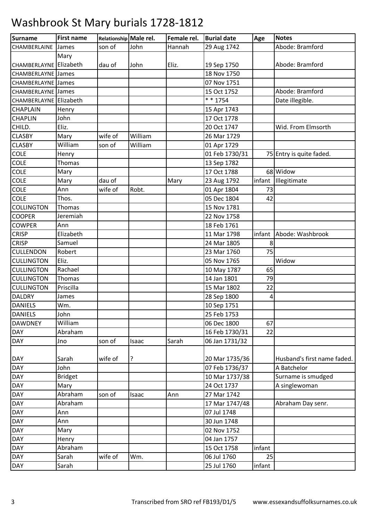| Surname                   | <b>First name</b> | Relationship Male rel. |         | Female rel. | <b>Burial date</b> | Age    | <b>Notes</b>                |
|---------------------------|-------------------|------------------------|---------|-------------|--------------------|--------|-----------------------------|
| CHAMBERLAINE              | James             | son of                 | John    | Hannah      | 29 Aug 1742        |        | Abode: Bramford             |
|                           | Mary              |                        |         |             |                    |        |                             |
| CHAMBERLAYNE Elizabeth    |                   | dau of                 | John    | Eliz.       | 19 Sep 1750        |        | Abode: Bramford             |
| <b>CHAMBERLAYNE James</b> |                   |                        |         |             | 18 Nov 1750        |        |                             |
| <b>CHAMBERLAYNE</b> James |                   |                        |         |             | 07 Nov 1751        |        |                             |
| CHAMBERLAYNE James        |                   |                        |         |             | 15 Oct 1752        |        | Abode: Bramford             |
| CHAMBERLAYNE Elizabeth    |                   |                        |         |             | $* * 1754$         |        | Date illegible.             |
| CHAPLAIN                  | Henry             |                        |         |             | 15 Apr 1743        |        |                             |
| <b>CHAPLIN</b>            | John              |                        |         |             | 17 Oct 1778        |        |                             |
| CHILD.                    | Eliz.             |                        |         |             | 20 Oct 1747        |        | Wid. From Elmsorth          |
| <b>CLASBY</b>             | Mary              | wife of                | William |             | 26 Mar 1729        |        |                             |
| <b>CLASBY</b>             | William           | son of                 | William |             | 01 Apr 1729        |        |                             |
| <b>COLE</b>               | Henry             |                        |         |             | 01 Feb 1730/31     |        | 75 Entry is quite faded.    |
| <b>COLE</b>               | Thomas            |                        |         |             | 13 Sep 1782        |        |                             |
| <b>COLE</b>               | Mary              |                        |         |             | 17 Oct 1788        |        | 68 Widow                    |
| <b>COLE</b>               | Mary              | dau of                 |         | Mary        | 23 Aug 1792        |        | infant Illegitimate         |
| <b>COLE</b>               | Ann               | wife of                | Robt.   |             | 01 Apr 1804        | 73     |                             |
| <b>COLE</b>               | Thos.             |                        |         |             | 05 Dec 1804        | 42     |                             |
| <b>COLLINGTON</b>         | Thomas            |                        |         |             | 15 Nov 1781        |        |                             |
| <b>COOPER</b>             | Jeremiah          |                        |         |             | 22 Nov 1758        |        |                             |
| <b>COWPER</b>             | Ann               |                        |         |             | 18 Feb 1761        |        |                             |
| <b>CRISP</b>              | Elizabeth         |                        |         |             | 11 Mar 1798        | infant | Abode: Washbrook            |
| <b>CRISP</b>              | Samuel            |                        |         |             | 24 Mar 1805        | 8      |                             |
| CULLENDON                 | Robert            |                        |         |             | 23 Mar 1760        | 75     |                             |
| <b>CULLINGTON</b>         | Eliz.             |                        |         |             | 05 Nov 1765        |        | Widow                       |
| <b>CULLINGTON</b>         | Rachael           |                        |         |             | 10 May 1787        | 65     |                             |
| <b>CULLINGTON</b>         | <b>Thomas</b>     |                        |         |             | 14 Jan 1801        | 79     |                             |
| <b>CULLINGTON</b>         | Priscilla         |                        |         |             | 15 Mar 1802        | 22     |                             |
| <b>DALDRY</b>             | James             |                        |         |             | 28 Sep 1800        | 4      |                             |
| <b>DANIELS</b>            | Wm.               |                        |         |             | 10 Sep 1751        |        |                             |
| <b>DANIELS</b>            | John              |                        |         |             | 25 Feb 1753        |        |                             |
| <b>DAWDNEY</b>            | William           |                        |         |             | 06 Dec 1800        | 67     |                             |
| <b>DAY</b>                | Abraham           |                        |         |             | 16 Feb 1730/31     | 22     |                             |
| <b>DAY</b>                | Jno               | son of                 | Isaac   | Sarah       | 06 Jan 1731/32     |        |                             |
| <b>DAY</b>                | Sarah             | wife of                | ?       |             | 20 Mar 1735/36     |        | Husband's first name faded. |
| DAY                       | John              |                        |         |             | 07 Feb 1736/37     |        | A Batchelor                 |
| DAY                       | <b>Bridget</b>    |                        |         |             | 10 Mar 1737/38     |        | Surname is smudged          |
| <b>DAY</b>                | Mary              |                        |         |             | 24 Oct 1737        |        | A singlewoman               |
| DAY                       | Abraham           | son of                 | Isaac   | Ann         | 27 Mar 1742        |        |                             |
| <b>DAY</b>                | Abraham           |                        |         |             | 17 Mar 1747/48     |        | Abraham Day senr.           |
| <b>DAY</b>                | Ann               |                        |         |             | 07 Jul 1748        |        |                             |
| DAY                       | Ann               |                        |         |             | 30 Jun 1748        |        |                             |
| <b>DAY</b>                | Mary              |                        |         |             | 02 Nov 1752        |        |                             |
| <b>DAY</b>                | Henry             |                        |         |             | 04 Jan 1757        |        |                             |
| <b>DAY</b>                | Abraham           |                        |         |             | 15 Oct 1758        | infant |                             |
| DAY                       | Sarah             | wife of                | Wm.     |             | 06 Jul 1760        | 25     |                             |
| <b>DAY</b>                | Sarah             |                        |         |             | 25 Jul 1760        | infant |                             |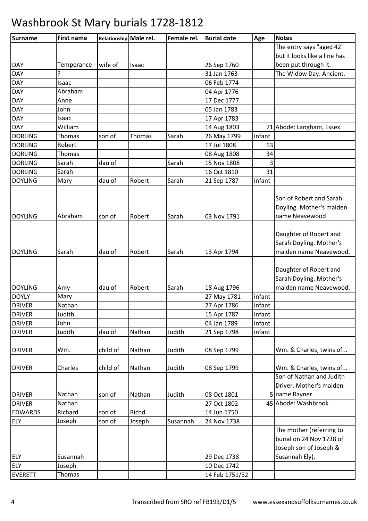### **Surname First name Relationship Male rel. Female rel. Burial date Age Notes** DAY Temperance wife of Isaac | 26 Sep 1760 The entry says "aged 42" but it looks like a line has been put through it. DAY ? 31 Jan 1763 The Widow Day. Ancient. DAY Isaac 06 Feb 1774 DAY Abraham 04 Apr 1776 DAY Anne 1777 DAY John 05 Jan 1783 DAY Isaac 17 Apr 1783 DAY William 14 Aug 1803 71 Abode: Langham, Essex DORLING Thomas Son of Thomas Sarah 26 May 1799 linfant DORLING Robert 17 Jul 1808 63 DORLING Thomas 08 Aug 1808 34 DORLING Sarah dau of Sarah 15 Nov 1808 3 DORLING Sarah 16 Oct 1810 31 DOYLING Mary dau of Robert Sarah 21 Sep 1787 infant DOYLING Abraham son of Robert Sarah 103 Nov 1791 Son of Robert and Sarah Doyling. Mother's maiden name Neavewood DOYLING Sarah dau of Robert Sarah 13 Apr 1794 Daughter of Robert and Sarah Doyling. Mother's maiden name Neavewood. DOYLING Amy dau of Robert Sarah 18 Aug 1796 Daughter of Robert and Sarah Doyling. Mother's maiden name Neavewood. DOYLY Mary 27 May 1781 infant DRIVER Nathan 27 Apr 1786 infant DRIVER Judith 15 Apr 1787 infant DRIVER John 04 Jan 1789 infant DRIVER Judith dau of Nathan Judith 21 Sep 1798 infant DRIVER | Wm. child of Nathan | Judith | 08 Sep 1799 | Wm. & Charles, twins of... DRIVER | Charles | child of | Nathan | Judith | 08 Sep 1799 | Wm. & Charles, twins of... DRIVER Nathan Son of Nathan Judith 108 Oct 1801 Son of Nathan and Judith Driver. Mother's maiden 5 name Rayner DRIVER Nathan 27 Oct 1802 45 Abode: Washbrook EDWARDS Richard Son of Richd. 14 Jun 1750 ELY Joseph son of Joseph Susannah 24 Nov 1738 ELY Susannah 29 Dec 1738 The mother (referring to burial on 24 Nov 1738 of Joseph son of Joseph & Susannah Ely). ELY Joseph 10 Dec 1742 EVERETT Thomas 14 Feb 1751/52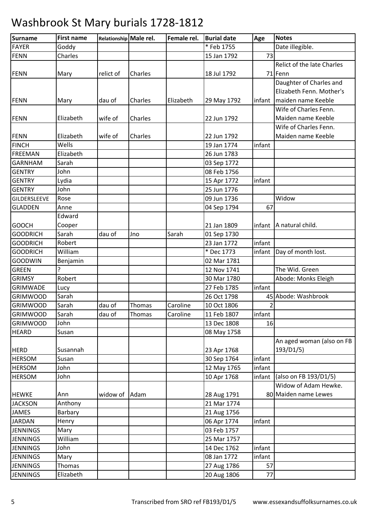| <b>Surname</b>  | <b>First name</b> | Relationship Male rel. |         | Female rel. | <b>Burial date</b> | Age    | <b>Notes</b>               |
|-----------------|-------------------|------------------------|---------|-------------|--------------------|--------|----------------------------|
| <b>FAYER</b>    | Goddy             |                        |         |             | * Feb 1755         |        | Date illegible.            |
| <b>FENN</b>     | Charles           |                        |         |             | 15 Jan 1792        | 73     |                            |
|                 |                   |                        |         |             |                    |        | Relict of the late Charles |
| <b>FENN</b>     | Mary              | relict of              | Charles |             | 18 Jul 1792        |        | 71 Fenn                    |
|                 |                   |                        |         |             |                    |        | Daughter of Charles and    |
|                 |                   |                        |         |             |                    |        | Elizabeth Fenn. Mother's   |
| <b>FENN</b>     | Mary              | dau of                 | Charles | Elizabeth   | 29 May 1792        | infant | maiden name Keeble         |
|                 |                   |                        |         |             |                    |        | Wife of Charles Fenn.      |
| <b>FENN</b>     | Elizabeth         | wife of                | Charles |             | 22 Jun 1792        |        | Maiden name Keeble         |
|                 |                   |                        |         |             |                    |        | Wife of Charles Fenn.      |
| <b>FENN</b>     | Elizabeth         | wife of                | Charles |             | 22 Jun 1792        |        | Maiden name Keeble         |
| <b>FINCH</b>    | Wells             |                        |         |             | 19 Jan 1774        | infant |                            |
| <b>FREEMAN</b>  | Elizabeth         |                        |         |             | 26 Jun 1783        |        |                            |
| <b>GARNHAM</b>  | Sarah             |                        |         |             | 03 Sep 1772        |        |                            |
| <b>GENTRY</b>   | John              |                        |         |             | 08 Feb 1756        |        |                            |
| <b>GENTRY</b>   | Lydia             |                        |         |             | 15 Apr 1772        | infant |                            |
| <b>GENTRY</b>   | John              |                        |         |             | 25 Jun 1776        |        |                            |
| GILDERSLEEVE    | Rose              |                        |         |             | 09 Jun 1736        |        | Widow                      |
| <b>GLADDEN</b>  | Anne              |                        |         |             | 04 Sep 1794        | 67     |                            |
|                 | Edward            |                        |         |             |                    |        |                            |
| <b>GOOCH</b>    | Cooper            |                        |         |             | 21 Jan 1809        | infant | A natural child.           |
| <b>GOODRICH</b> | Sarah             | dau of                 | Jno     | Sarah       | 01 Sep 1730        |        |                            |
| <b>GOODRICH</b> | Robert            |                        |         |             | 23 Jan 1772        | infant |                            |
| <b>GOODRICH</b> | William           |                        |         |             | * Dec 1773         | infant | Day of month lost.         |
| <b>GOODWIN</b>  | Benjamin          |                        |         |             | 02 Mar 1781        |        |                            |
| <b>GREEN</b>    | ?                 |                        |         |             | 12 Nov 1741        |        | The Wid. Green             |
| <b>GRIMSY</b>   | Robert            |                        |         |             | 30 Mar 1780        |        | Abode: Monks Eleigh        |
| <b>GRIMWADE</b> | Lucy              |                        |         |             | 27 Feb 1785        | infant |                            |
| <b>GRIMWOOD</b> | Sarah             |                        |         |             | 26 Oct 1798        |        | 45 Abode: Washbrook        |
| <b>GRIMWOOD</b> | Sarah             | dau of                 | Thomas  | Caroline    | 10 Oct 1806        | 2      |                            |
| <b>GRIMWOOD</b> | Sarah             | dau of                 | Thomas  | Caroline    | 11 Feb 1807        | infant |                            |
| <b>GRIMWOOD</b> | John              |                        |         |             | 13 Dec 1808        | 16     |                            |
| <b>HEARD</b>    | Susan             |                        |         |             | 08 May 1758        |        |                            |
|                 |                   |                        |         |             |                    |        | An aged woman (also on FB  |
| <b>HERD</b>     | Susannah          |                        |         |             | 23 Apr 1768        |        | 193/D1/5)                  |
| <b>HERSOM</b>   | Susan             |                        |         |             | 30 Sep 1764        | infant |                            |
| <b>HERSOM</b>   | John              |                        |         |             | 12 May 1765        | infant |                            |
| <b>HERSOM</b>   | John              |                        |         |             | 10 Apr 1768        | infant | (also on FB 193/D1/5)      |
|                 |                   |                        |         |             |                    |        | Widow of Adam Hewke.       |
| <b>HEWKE</b>    | Ann               | widow of               | Adam    |             | 28 Aug 1791        |        | 80 Maiden name Lewes       |
| <b>JACKSON</b>  | Anthony           |                        |         |             | 21 Mar 1774        |        |                            |
| <b>JAMES</b>    | Barbary           |                        |         |             | 21 Aug 1756        |        |                            |
| <b>JARDAN</b>   | Henry             |                        |         |             | 06 Apr 1774        | infant |                            |
| <b>JENNINGS</b> | Mary              |                        |         |             | 03 Feb 1757        |        |                            |
| <b>JENNINGS</b> | William           |                        |         |             | 25 Mar 1757        |        |                            |
| <b>JENNINGS</b> | John              |                        |         |             | 14 Dec 1762        | infant |                            |
| <b>JENNINGS</b> | Mary              |                        |         |             | 08 Jan 1772        | infant |                            |
| <b>JENNINGS</b> | Thomas            |                        |         |             | 27 Aug 1786        | 57     |                            |
| <b>JENNINGS</b> | Elizabeth         |                        |         |             | 20 Aug 1806        | 77     |                            |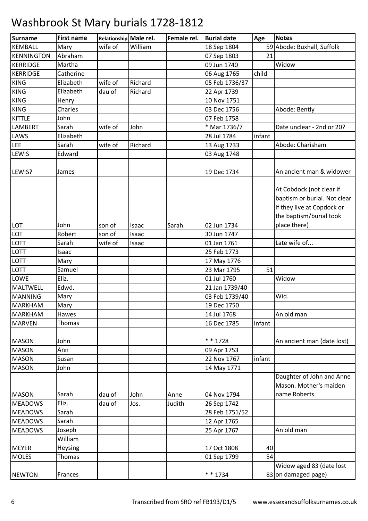| Surname           | <b>First name</b> | Relationship Male rel. |         | Female rel. | <b>Burial date</b> | Age    | <b>Notes</b>                 |
|-------------------|-------------------|------------------------|---------|-------------|--------------------|--------|------------------------------|
| <b>KEMBALL</b>    | Mary              | wife of                | William |             | 18 Sep 1804        |        | 59 Abode: Buxhall, Suffolk   |
| <b>KENNINGTON</b> | Abraham           |                        |         |             | 07 Sep 1803        | 21     |                              |
| <b>KERRIDGE</b>   | Martha            |                        |         |             | 09 Jun 1740        |        | Widow                        |
| <b>KERRIDGE</b>   | Catherine         |                        |         |             | 06 Aug 1765        | child  |                              |
| <b>KING</b>       | Elizabeth         | wife of                | Richard |             | 05 Feb 1736/37     |        |                              |
| <b>KING</b>       | Elizabeth         | dau of                 | Richard |             | 22 Apr 1739        |        |                              |
| <b>KING</b>       | Henry             |                        |         |             | 10 Nov 1751        |        |                              |
| <b>KING</b>       | Charles           |                        |         |             | 03 Dec 1756        |        | Abode: Bently                |
| <b>KITTLE</b>     | John              |                        |         |             | 07 Feb 1758        |        |                              |
| <b>LAMBERT</b>    | Sarah             | wife of                | John    |             | * Mar 1736/7       |        | Date unclear - 2nd or 20?    |
| LAWS              | Elizabeth         |                        |         |             | 28 Jul 1784        | infant |                              |
| <b>LEE</b>        | Sarah             | wife of                | Richard |             | 13 Aug 1733        |        | Abode: Charisham             |
| <b>LEWIS</b>      | Edward            |                        |         |             | 03 Aug 1748        |        |                              |
|                   |                   |                        |         |             |                    |        |                              |
| LEWIS?            | James             |                        |         |             | 19 Dec 1734        |        | An ancient man & widower     |
|                   |                   |                        |         |             |                    |        |                              |
|                   |                   |                        |         |             |                    |        | At Cobdock (not clear if     |
|                   |                   |                        |         |             |                    |        | baptism or burial. Not clear |
|                   |                   |                        |         |             |                    |        | if they live at Copdock or   |
|                   |                   |                        |         |             |                    |        | the baptism/burial took      |
| LOT               | John              | son of                 | Isaac   | Sarah       | 02 Jun 1734        |        | place there)                 |
| LOT               | Robert            | son of                 | Isaac   |             | 30 Jun 1747        |        |                              |
| <b>LOTT</b>       | Sarah             | wife of                | Isaac   |             | 01 Jan 1761        |        | Late wife of                 |
| LOTT              | Isaac             |                        |         |             | 25 Feb 1773        |        |                              |
| <b>LOTT</b>       | Mary              |                        |         |             | 17 May 1776        |        |                              |
| LOTT              | Samuel            |                        |         |             | 23 Mar 1795        | 51     |                              |
| LOWE              | Eliz.             |                        |         |             | 01 Jul 1760        |        | Widow                        |
| MALTWELL          | Edwd.             |                        |         |             | 21 Jan 1739/40     |        |                              |
| <b>MANNING</b>    | Mary              |                        |         |             | 03 Feb 1739/40     |        | Wid.                         |
| <b>MARKHAM</b>    | Mary              |                        |         |             | 19 Dec 1750        |        |                              |
| <b>MARKHAM</b>    | Hawes             |                        |         |             | 14 Jul 1768        |        | An old man                   |
| <b>MARVEN</b>     | Thomas            |                        |         |             | 16 Dec 1785        | infant |                              |
|                   |                   |                        |         |             |                    |        |                              |
| <b>MASON</b>      | John              |                        |         |             | * * 1728           |        | An ancient man (date lost)   |
| <b>MASON</b>      | Ann               |                        |         |             | 09 Apr 1753        |        |                              |
| <b>MASON</b>      | Susan             |                        |         |             | 22 Nov 1767        | infant |                              |
| <b>MASON</b>      | John              |                        |         |             | 14 May 1771        |        |                              |
|                   |                   |                        |         |             |                    |        | Daughter of John and Anne    |
|                   |                   |                        |         |             |                    |        | Mason. Mother's maiden       |
| <b>MASON</b>      | Sarah             | dau of                 | John    | Anne        | 04 Nov 1794        |        | name Roberts.                |
| <b>MEADOWS</b>    | Eliz.             | dau of                 | Jos.    | Judith      | 26 Sep 1742        |        |                              |
| <b>MEADOWS</b>    | Sarah             |                        |         |             | 28 Feb 1751/52     |        |                              |
| <b>MEADOWS</b>    | Sarah             |                        |         |             | 12 Apr 1765        |        |                              |
| <b>MEADOWS</b>    | Joseph            |                        |         |             | 25 Apr 1767        |        | An old man                   |
|                   | William           |                        |         |             |                    |        |                              |
| <b>MEYER</b>      | Heysing           |                        |         |             | 17 Oct 1808        | 40     |                              |
| <b>MOLES</b>      | Thomas            |                        |         |             | 01 Sep 1799        | 54     |                              |
|                   |                   |                        |         |             |                    |        | Widow aged 83 (date lost     |
| <b>NEWTON</b>     | Frances           |                        |         |             | * * 1734           |        | 83 on damaged page)          |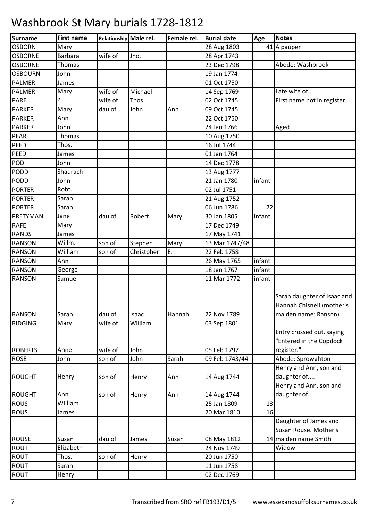| <b>OSBORN</b><br>28 Aug 1803<br>Mary<br>41 A pauper<br><b>Barbara</b><br>wife of<br><b>OSBORNE</b><br>28 Apr 1743<br>Jno.<br><b>OSBORNE</b><br>23 Dec 1798<br>Thomas<br>Abode: Washbrook<br>John<br>19 Jan 1774<br><b>OSBOURN</b><br>01 Oct 1750<br><b>PALMER</b><br>James<br>Late wife of<br>wife of<br>Mary<br>Michael<br>14 Sep 1769<br><b>PALMER</b><br>?<br>02 Oct 1745<br><b>PARE</b><br>wife of<br>Thos.<br>First name not in register<br>09 Oct 1745<br><b>PARKER</b><br>dau of<br>John<br>Mary<br>Ann<br><b>PARKER</b><br>Ann<br>22 Oct 1750<br>24 Jan 1766<br><b>PARKER</b><br>John<br>Aged<br><b>PEAR</b><br>Thomas<br>10 Aug 1750<br>PEED<br>16 Jul 1744<br>Thos.<br>01 Jan 1764<br>PEED<br>James<br><b>POD</b><br>John<br>14 Dec 1778<br>Shadrach<br><b>PODD</b><br>13 Aug 1777<br><b>PODD</b><br>John<br>21 Jan 1780<br>infant<br>Robt.<br>02 Jul 1751<br><b>PORTER</b><br><b>PORTER</b><br>Sarah<br>21 Aug 1752<br>Sarah<br>06 Jun 1786<br><b>PORTER</b><br>72<br>30 Jan 1805<br>infant<br>PRETYMAN<br>dau of<br>Robert<br>Mary<br>Jane<br><b>RAFE</b><br>17 Dec 1749<br>Mary<br><b>RANDS</b><br>17 May 1741<br>James<br><b>RANSON</b><br>Willm.<br>13 Mar 1747/48<br>son of<br>Stephen<br>Mary<br>William<br>E.<br>22 Feb 1758<br><b>RANSON</b><br>son of<br>Christpher<br>infant<br><b>RANSON</b><br>26 May 1765<br>Ann<br>18 Jan 1767<br>infant<br><b>RANSON</b><br>George<br><b>RANSON</b><br>11 Mar 1772<br>Samuel<br>infant<br>Sarah daughter of Isaac and |
|---------------------------------------------------------------------------------------------------------------------------------------------------------------------------------------------------------------------------------------------------------------------------------------------------------------------------------------------------------------------------------------------------------------------------------------------------------------------------------------------------------------------------------------------------------------------------------------------------------------------------------------------------------------------------------------------------------------------------------------------------------------------------------------------------------------------------------------------------------------------------------------------------------------------------------------------------------------------------------------------------------------------------------------------------------------------------------------------------------------------------------------------------------------------------------------------------------------------------------------------------------------------------------------------------------------------------------------------------------------------------------------------------------------------------------------------------------------------------------|
|                                                                                                                                                                                                                                                                                                                                                                                                                                                                                                                                                                                                                                                                                                                                                                                                                                                                                                                                                                                                                                                                                                                                                                                                                                                                                                                                                                                                                                                                                 |
|                                                                                                                                                                                                                                                                                                                                                                                                                                                                                                                                                                                                                                                                                                                                                                                                                                                                                                                                                                                                                                                                                                                                                                                                                                                                                                                                                                                                                                                                                 |
|                                                                                                                                                                                                                                                                                                                                                                                                                                                                                                                                                                                                                                                                                                                                                                                                                                                                                                                                                                                                                                                                                                                                                                                                                                                                                                                                                                                                                                                                                 |
|                                                                                                                                                                                                                                                                                                                                                                                                                                                                                                                                                                                                                                                                                                                                                                                                                                                                                                                                                                                                                                                                                                                                                                                                                                                                                                                                                                                                                                                                                 |
|                                                                                                                                                                                                                                                                                                                                                                                                                                                                                                                                                                                                                                                                                                                                                                                                                                                                                                                                                                                                                                                                                                                                                                                                                                                                                                                                                                                                                                                                                 |
|                                                                                                                                                                                                                                                                                                                                                                                                                                                                                                                                                                                                                                                                                                                                                                                                                                                                                                                                                                                                                                                                                                                                                                                                                                                                                                                                                                                                                                                                                 |
|                                                                                                                                                                                                                                                                                                                                                                                                                                                                                                                                                                                                                                                                                                                                                                                                                                                                                                                                                                                                                                                                                                                                                                                                                                                                                                                                                                                                                                                                                 |
|                                                                                                                                                                                                                                                                                                                                                                                                                                                                                                                                                                                                                                                                                                                                                                                                                                                                                                                                                                                                                                                                                                                                                                                                                                                                                                                                                                                                                                                                                 |
|                                                                                                                                                                                                                                                                                                                                                                                                                                                                                                                                                                                                                                                                                                                                                                                                                                                                                                                                                                                                                                                                                                                                                                                                                                                                                                                                                                                                                                                                                 |
|                                                                                                                                                                                                                                                                                                                                                                                                                                                                                                                                                                                                                                                                                                                                                                                                                                                                                                                                                                                                                                                                                                                                                                                                                                                                                                                                                                                                                                                                                 |
|                                                                                                                                                                                                                                                                                                                                                                                                                                                                                                                                                                                                                                                                                                                                                                                                                                                                                                                                                                                                                                                                                                                                                                                                                                                                                                                                                                                                                                                                                 |
|                                                                                                                                                                                                                                                                                                                                                                                                                                                                                                                                                                                                                                                                                                                                                                                                                                                                                                                                                                                                                                                                                                                                                                                                                                                                                                                                                                                                                                                                                 |
|                                                                                                                                                                                                                                                                                                                                                                                                                                                                                                                                                                                                                                                                                                                                                                                                                                                                                                                                                                                                                                                                                                                                                                                                                                                                                                                                                                                                                                                                                 |
|                                                                                                                                                                                                                                                                                                                                                                                                                                                                                                                                                                                                                                                                                                                                                                                                                                                                                                                                                                                                                                                                                                                                                                                                                                                                                                                                                                                                                                                                                 |
|                                                                                                                                                                                                                                                                                                                                                                                                                                                                                                                                                                                                                                                                                                                                                                                                                                                                                                                                                                                                                                                                                                                                                                                                                                                                                                                                                                                                                                                                                 |
|                                                                                                                                                                                                                                                                                                                                                                                                                                                                                                                                                                                                                                                                                                                                                                                                                                                                                                                                                                                                                                                                                                                                                                                                                                                                                                                                                                                                                                                                                 |
|                                                                                                                                                                                                                                                                                                                                                                                                                                                                                                                                                                                                                                                                                                                                                                                                                                                                                                                                                                                                                                                                                                                                                                                                                                                                                                                                                                                                                                                                                 |
|                                                                                                                                                                                                                                                                                                                                                                                                                                                                                                                                                                                                                                                                                                                                                                                                                                                                                                                                                                                                                                                                                                                                                                                                                                                                                                                                                                                                                                                                                 |
|                                                                                                                                                                                                                                                                                                                                                                                                                                                                                                                                                                                                                                                                                                                                                                                                                                                                                                                                                                                                                                                                                                                                                                                                                                                                                                                                                                                                                                                                                 |
|                                                                                                                                                                                                                                                                                                                                                                                                                                                                                                                                                                                                                                                                                                                                                                                                                                                                                                                                                                                                                                                                                                                                                                                                                                                                                                                                                                                                                                                                                 |
|                                                                                                                                                                                                                                                                                                                                                                                                                                                                                                                                                                                                                                                                                                                                                                                                                                                                                                                                                                                                                                                                                                                                                                                                                                                                                                                                                                                                                                                                                 |
|                                                                                                                                                                                                                                                                                                                                                                                                                                                                                                                                                                                                                                                                                                                                                                                                                                                                                                                                                                                                                                                                                                                                                                                                                                                                                                                                                                                                                                                                                 |
|                                                                                                                                                                                                                                                                                                                                                                                                                                                                                                                                                                                                                                                                                                                                                                                                                                                                                                                                                                                                                                                                                                                                                                                                                                                                                                                                                                                                                                                                                 |
|                                                                                                                                                                                                                                                                                                                                                                                                                                                                                                                                                                                                                                                                                                                                                                                                                                                                                                                                                                                                                                                                                                                                                                                                                                                                                                                                                                                                                                                                                 |
|                                                                                                                                                                                                                                                                                                                                                                                                                                                                                                                                                                                                                                                                                                                                                                                                                                                                                                                                                                                                                                                                                                                                                                                                                                                                                                                                                                                                                                                                                 |
|                                                                                                                                                                                                                                                                                                                                                                                                                                                                                                                                                                                                                                                                                                                                                                                                                                                                                                                                                                                                                                                                                                                                                                                                                                                                                                                                                                                                                                                                                 |
|                                                                                                                                                                                                                                                                                                                                                                                                                                                                                                                                                                                                                                                                                                                                                                                                                                                                                                                                                                                                                                                                                                                                                                                                                                                                                                                                                                                                                                                                                 |
| Hannah Chisnell (mother's                                                                                                                                                                                                                                                                                                                                                                                                                                                                                                                                                                                                                                                                                                                                                                                                                                                                                                                                                                                                                                                                                                                                                                                                                                                                                                                                                                                                                                                       |
| Sarah<br>dau of<br><b>RANSON</b><br>Isaac<br>Hannah<br>22 Nov 1789<br>maiden name: Ranson)                                                                                                                                                                                                                                                                                                                                                                                                                                                                                                                                                                                                                                                                                                                                                                                                                                                                                                                                                                                                                                                                                                                                                                                                                                                                                                                                                                                      |
| wife of<br>William<br><b>RIDGING</b><br>03 Sep 1801<br>Mary                                                                                                                                                                                                                                                                                                                                                                                                                                                                                                                                                                                                                                                                                                                                                                                                                                                                                                                                                                                                                                                                                                                                                                                                                                                                                                                                                                                                                     |
| Entry crossed out, saying<br>"Entered in the Copdock<br>register."<br><b>ROBERTS</b><br>Anne<br>wife of<br>John<br>05 Feb 1797                                                                                                                                                                                                                                                                                                                                                                                                                                                                                                                                                                                                                                                                                                                                                                                                                                                                                                                                                                                                                                                                                                                                                                                                                                                                                                                                                  |
| Abode: Sprowghton<br><b>ROSE</b><br>John<br>09 Feb 1743/44<br>son of<br>John<br>Sarah                                                                                                                                                                                                                                                                                                                                                                                                                                                                                                                                                                                                                                                                                                                                                                                                                                                                                                                                                                                                                                                                                                                                                                                                                                                                                                                                                                                           |
| Henry and Ann, son and                                                                                                                                                                                                                                                                                                                                                                                                                                                                                                                                                                                                                                                                                                                                                                                                                                                                                                                                                                                                                                                                                                                                                                                                                                                                                                                                                                                                                                                          |
| daughter of                                                                                                                                                                                                                                                                                                                                                                                                                                                                                                                                                                                                                                                                                                                                                                                                                                                                                                                                                                                                                                                                                                                                                                                                                                                                                                                                                                                                                                                                     |
| 14 Aug 1744<br><b>ROUGHT</b><br>Henry<br>son of<br>Ann<br>Henry<br>Henry and Ann, son and                                                                                                                                                                                                                                                                                                                                                                                                                                                                                                                                                                                                                                                                                                                                                                                                                                                                                                                                                                                                                                                                                                                                                                                                                                                                                                                                                                                       |
| daughter of<br>ROUGHT<br>Ann<br>son of<br>14 Aug 1744<br>Henry<br>Ann                                                                                                                                                                                                                                                                                                                                                                                                                                                                                                                                                                                                                                                                                                                                                                                                                                                                                                                                                                                                                                                                                                                                                                                                                                                                                                                                                                                                           |
| William<br>25 Jan 1809<br><b>ROUS</b><br>13                                                                                                                                                                                                                                                                                                                                                                                                                                                                                                                                                                                                                                                                                                                                                                                                                                                                                                                                                                                                                                                                                                                                                                                                                                                                                                                                                                                                                                     |
| <b>ROUS</b><br>20 Mar 1810<br>16<br>James                                                                                                                                                                                                                                                                                                                                                                                                                                                                                                                                                                                                                                                                                                                                                                                                                                                                                                                                                                                                                                                                                                                                                                                                                                                                                                                                                                                                                                       |
| Daughter of James and<br>Susan Rouse. Mother's                                                                                                                                                                                                                                                                                                                                                                                                                                                                                                                                                                                                                                                                                                                                                                                                                                                                                                                                                                                                                                                                                                                                                                                                                                                                                                                                                                                                                                  |
| <b>ROUSE</b><br>14 maiden name Smith<br>Susan<br>dau of<br>08 May 1812<br>James<br>Susan                                                                                                                                                                                                                                                                                                                                                                                                                                                                                                                                                                                                                                                                                                                                                                                                                                                                                                                                                                                                                                                                                                                                                                                                                                                                                                                                                                                        |
| Elizabeth<br>24 Nov 1749<br>Widow<br><b>ROUT</b>                                                                                                                                                                                                                                                                                                                                                                                                                                                                                                                                                                                                                                                                                                                                                                                                                                                                                                                                                                                                                                                                                                                                                                                                                                                                                                                                                                                                                                |
| <b>ROUT</b><br>son of<br>20 Jun 1750<br>Thos.<br>Henry                                                                                                                                                                                                                                                                                                                                                                                                                                                                                                                                                                                                                                                                                                                                                                                                                                                                                                                                                                                                                                                                                                                                                                                                                                                                                                                                                                                                                          |
| <b>ROUT</b><br>Sarah<br>11 Jun 1758                                                                                                                                                                                                                                                                                                                                                                                                                                                                                                                                                                                                                                                                                                                                                                                                                                                                                                                                                                                                                                                                                                                                                                                                                                                                                                                                                                                                                                             |
| <b>ROUT</b><br>02 Dec 1769<br>Henry                                                                                                                                                                                                                                                                                                                                                                                                                                                                                                                                                                                                                                                                                                                                                                                                                                                                                                                                                                                                                                                                                                                                                                                                                                                                                                                                                                                                                                             |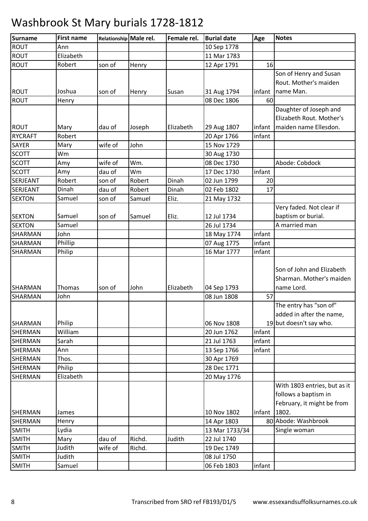| <b>Surname</b> | <b>First name</b> | Relationship Male rel. |        | Female rel. | <b>Burial date</b> | Age    | <b>Notes</b>                                                                       |
|----------------|-------------------|------------------------|--------|-------------|--------------------|--------|------------------------------------------------------------------------------------|
| <b>ROUT</b>    | Ann               |                        |        |             | 10 Sep 1778        |        |                                                                                    |
| <b>ROUT</b>    | Elizabeth         |                        |        |             | 11 Mar 1783        |        |                                                                                    |
| <b>ROUT</b>    | Robert            | son of                 | Henry  |             | 12 Apr 1791        | 16     |                                                                                    |
|                |                   |                        |        |             |                    |        | Son of Henry and Susan                                                             |
|                |                   |                        |        |             |                    |        | Rout. Mother's maiden                                                              |
| <b>ROUT</b>    | Joshua            | son of                 | Henry  | Susan       | 31 Aug 1794        | infant | name Man.                                                                          |
| <b>ROUT</b>    | Henry             |                        |        |             | 08 Dec 1806        | 60     |                                                                                    |
|                |                   |                        |        |             |                    |        | Daughter of Joseph and                                                             |
|                |                   |                        |        |             |                    |        | Elizabeth Rout. Mother's                                                           |
| <b>ROUT</b>    | Mary              | dau of                 | Joseph | Elizabeth   | 29 Aug 1807        | infant | maiden name Ellesdon.                                                              |
| <b>RYCRAFT</b> | Robert            |                        |        |             | 20 Apr 1766        | infant |                                                                                    |
| SAYER          | Mary              | wife of                | John   |             | 15 Nov 1729        |        |                                                                                    |
| <b>SCOTT</b>   | Wm                |                        |        |             | 30 Aug 1730        |        |                                                                                    |
| <b>SCOTT</b>   | Amy               | wife of                | Wm.    |             | 08 Dec 1730        |        | Abode: Cobdock                                                                     |
| <b>SCOTT</b>   | Amy               | dau of                 | Wm     |             | 17 Dec 1730        | infant |                                                                                    |
| SERJEANT       | Robert            | son of                 | Robert | Dinah       | 02 Jun 1799        | 20     |                                                                                    |
| SERJEANT       | Dinah             | dau of                 | Robert | Dinah       | 02 Feb 1802        | 17     |                                                                                    |
| <b>SEXTON</b>  | Samuel            | son of                 | Samuel | Eliz.       | 21 May 1732        |        |                                                                                    |
|                |                   |                        |        |             |                    |        | Very faded. Not clear if                                                           |
| <b>SEXTON</b>  | Samuel            | son of                 | Samuel | Eliz.       | 12 Jul 1734        |        | baptism or burial.                                                                 |
| <b>SEXTON</b>  | Samuel            |                        |        |             | 26 Jul 1734        |        | A married man                                                                      |
| SHARMAN        | John              |                        |        |             | 18 May 1774        | infant |                                                                                    |
| <b>SHARMAN</b> | Phillip           |                        |        |             | 07 Aug 1775        | infant |                                                                                    |
| <b>SHARMAN</b> | Philip            |                        |        |             | 16 Mar 1777        | infant |                                                                                    |
| <b>SHARMAN</b> | Thomas            | son of                 | John   | Elizabeth   | 04 Sep 1793        |        | Son of John and Elizabeth<br>Sharman. Mother's maiden<br>name Lord.                |
| <b>SHARMAN</b> | John              |                        |        |             | 08 Jun 1808        | 57     |                                                                                    |
| <b>SHARMAN</b> | Philip            |                        |        |             | 06 Nov 1808        |        | The entry has "son of"<br>added in after the name,<br>19 but doesn't say who.      |
| <b>SHERMAN</b> | William           |                        |        |             | 20 Jun 1762        | infant |                                                                                    |
| <b>SHERMAN</b> | Sarah             |                        |        |             | 21 Jul 1763        | infant |                                                                                    |
| <b>SHERMAN</b> | Ann               |                        |        |             | 13 Sep 1766        | infant |                                                                                    |
| <b>SHERMAN</b> | Thos.             |                        |        |             | 30 Apr 1769        |        |                                                                                    |
| SHERMAN        | Philip            |                        |        |             | 28 Dec 1771        |        |                                                                                    |
| SHERMAN        | Elizabeth         |                        |        |             | 20 May 1776        |        |                                                                                    |
|                |                   |                        |        |             |                    |        | With 1803 entries, but as it<br>follows a baptism in<br>February, it might be from |
| <b>SHERMAN</b> | James             |                        |        |             | 10 Nov 1802        | infant | 1802.                                                                              |
| <b>SHERMAN</b> | Henry             |                        |        |             | 14 Apr 1803        |        | 80 Abode: Washbrook                                                                |
| <b>SMITH</b>   | Lydia             |                        |        |             | 13 Mar 1733/34     |        | Single woman                                                                       |
| <b>SMITH</b>   | Mary              | dau of                 | Richd. | Judith      | 22 Jul 1740        |        |                                                                                    |
| <b>SMITH</b>   | Judith            | wife of                | Richd. |             | 19 Dec 1749        |        |                                                                                    |
| <b>SMITH</b>   | Judith            |                        |        |             | 08 Jul 1750        |        |                                                                                    |
| <b>SMITH</b>   | Samuel            |                        |        |             | 06 Feb 1803        | infant |                                                                                    |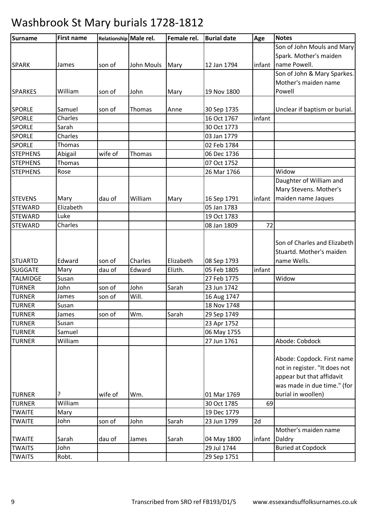| <b>Surname</b>  | <b>First name</b> | Relationship Male rel. |            | Female rel. | <b>Burial date</b> | Age    | <b>Notes</b>                  |
|-----------------|-------------------|------------------------|------------|-------------|--------------------|--------|-------------------------------|
|                 |                   |                        |            |             |                    |        | Son of John Mouls and Mary    |
|                 |                   |                        |            |             |                    |        | Spark. Mother's maiden        |
| <b>SPARK</b>    | James             | son of                 | John Mouls | Mary        | 12 Jan 1794        |        | infant name Powell.           |
|                 |                   |                        |            |             |                    |        | Son of John & Mary Sparkes.   |
|                 |                   |                        |            |             |                    |        | Mother's maiden name          |
| <b>SPARKES</b>  | William           | son of                 | John       | Mary        | 19 Nov 1800        |        | Powell                        |
| <b>SPORLE</b>   | Samuel            | son of                 | Thomas     | Anne        | 30 Sep 1735        |        | Unclear if baptism or burial. |
| <b>SPORLE</b>   | Charles           |                        |            |             | 16 Oct 1767        | infant |                               |
| <b>SPORLE</b>   | Sarah             |                        |            |             | 30 Oct 1773        |        |                               |
| <b>SPORLE</b>   | Charles           |                        |            |             | 03 Jan 1779        |        |                               |
| <b>SPORLE</b>   | Thomas            |                        |            |             | 02 Feb 1784        |        |                               |
| <b>STEPHENS</b> | Abigail           | wife of                | Thomas     |             | 06 Dec 1736        |        |                               |
| <b>STEPHENS</b> | Thomas            |                        |            |             | 07 Oct 1752        |        |                               |
| <b>STEPHENS</b> | Rose              |                        |            |             | 26 Mar 1766        |        | Widow                         |
|                 |                   |                        |            |             |                    |        | Daughter of William and       |
|                 |                   |                        |            |             |                    |        | Mary Stevens. Mother's        |
| <b>STEVENS</b>  | Mary              | dau of                 | William    | Mary        | 16 Sep 1791        | infant | maiden name Jaques            |
| <b>STEWARD</b>  | Elizabeth         |                        |            |             | 05 Jan 1783        |        |                               |
| <b>STEWARD</b>  | Luke              |                        |            |             | 19 Oct 1783        |        |                               |
| <b>STEWARD</b>  | Charles           |                        |            |             | 08 Jan 1809        | 72     |                               |
|                 |                   |                        |            |             |                    |        |                               |
|                 |                   |                        |            |             |                    |        | Son of Charles and Elizabeth  |
|                 |                   |                        |            |             |                    |        | Stuartd. Mother's maiden      |
| <b>STUARTD</b>  | Edward            | son of                 | Charles    | Elizabeth   | 08 Sep 1793        |        | name Wells.                   |
| <b>SUGGATE</b>  | Mary              | dau of                 | Edward     | Elizth.     | 05 Feb 1805        | infant |                               |
| <b>TALMIDGE</b> | Susan             |                        |            |             | 27 Feb 1775        |        | Widow                         |
| <b>TURNER</b>   | John              | son of                 | John       | Sarah       | 23 Jun 1742        |        |                               |
| <b>TURNER</b>   | James             | son of                 | Will.      |             | 16 Aug 1747        |        |                               |
| <b>TURNER</b>   | Susan             |                        |            |             | 18 Nov 1748        |        |                               |
| <b>TURNER</b>   | James             | son of                 | Wm.        | Sarah       | 29 Sep 1749        |        |                               |
| <b>TURNER</b>   | Susan             |                        |            |             | 23 Apr 1752        |        |                               |
| <b>TURNER</b>   | Samuel            |                        |            |             | 06 May 1755        |        |                               |
| <b>TURNER</b>   | William           |                        |            |             | 27 Jun 1761        |        | Abode: Cobdock                |
|                 |                   |                        |            |             |                    |        |                               |
|                 |                   |                        |            |             |                    |        | Abode: Copdock. First name    |
|                 |                   |                        |            |             |                    |        | not in register. "It does not |
|                 |                   |                        |            |             |                    |        | appear but that affidavit     |
|                 |                   |                        |            |             |                    |        | was made in due time." (for   |
| <b>TURNER</b>   | ?                 | wife of                | Wm.        |             | 01 Mar 1769        |        | burial in woollen)            |
| <b>TURNER</b>   | William           |                        |            |             | 30 Oct 1785        | 69     |                               |
| <b>TWAITE</b>   | Mary              |                        |            |             | 19 Dec 1779        |        |                               |
| <b>TWAITE</b>   | John              | son of                 | John       | Sarah       | 23 Jun 1799        | 2d     |                               |
|                 |                   |                        |            |             |                    |        | Mother's maiden name          |
| <b>TWAITE</b>   | Sarah             | dau of                 | James      | Sarah       | 04 May 1800        | infant | Daldry                        |
| <b>TWAITS</b>   | John              |                        |            |             | 29 Jul 1744        |        | <b>Buried at Copdock</b>      |
| <b>TWAITS</b>   | Robt.             |                        |            |             | 29 Sep 1751        |        |                               |
|                 |                   |                        |            |             |                    |        |                               |